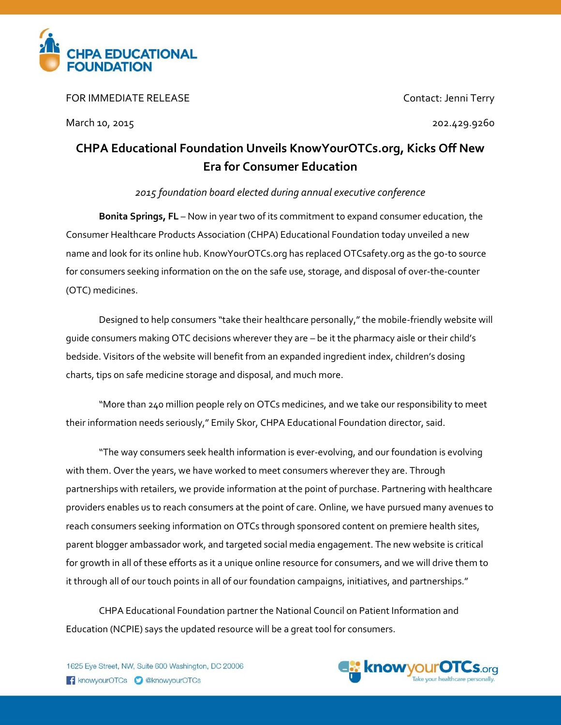

FOR IMMEDIATE RELEASE Contact: Jenni Terry

March 10, 2015 202.429.9260

## **CHPA Educational Foundation Unveils KnowYourOTCs.org, Kicks Off New Era for Consumer Education**

## *2015 foundation board elected during annual executive conference*

**Bonita Springs, FL** – Now in year two of its commitment to expand consumer education, the Consumer Healthcare Products Association (CHPA) Educational Foundation today unveiled a new name and look for its online hub. KnowYourOTCs.org has replaced OTCsafety.org as the go-to source for consumers seeking information on the on the safe use, storage, and disposal of over-the-counter (OTC) medicines.

Designed to help consumers "take their healthcare personally," the mobile-friendly website will guide consumers making OTC decisions wherever they are – be it the pharmacy aisle or their child's bedside. Visitors of the website will benefit from an expanded ingredient index, children's dosing charts, tips on safe medicine storage and disposal, and much more.

"More than 240 million people rely on OTCs medicines, and we take our responsibility to meet their information needs seriously," Emily Skor, CHPA Educational Foundation director, said.

"The way consumers seek health information is ever-evolving, and our foundation is evolving with them. Over the years, we have worked to meet consumers wherever they are. Through partnerships with retailers, we provide information at the point of purchase. Partnering with healthcare providers enables us to reach consumers at the point of care. Online, we have pursued many avenues to reach consumers seeking information on OTCs through sponsored content on premiere health sites, parent blogger ambassador work, and targeted social media engagement. The new website is critical for growth in all of these efforts as it a unique online resource for consumers, and we will drive them to it through all of our touch points in all of our foundation campaigns, initiatives, and partnerships."

CHPA Educational Foundation partner the National Council on Patient Information and Education (NCPIE) says the updated resource will be a great tool for consumers.

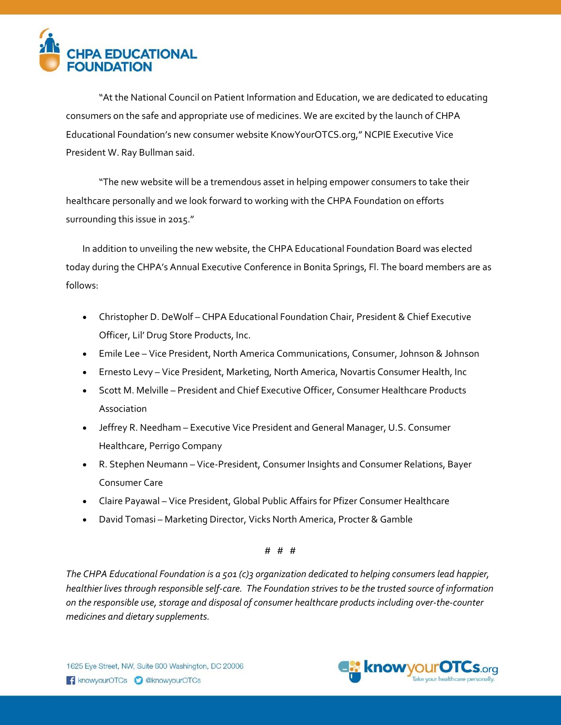

"At the National Council on Patient Information and Education, we are dedicated to educating consumers on the safe and appropriate use of medicines. We are excited by the launch of CHPA Educational Foundation's new consumer website KnowYourOTCS.org," NCPIE Executive Vice President W. Ray Bullman said.

"The new website will be a tremendous asset in helping empower consumers to take their healthcare personally and we look forward to working with the CHPA Foundation on efforts surrounding this issue in 2015."

In addition to unveiling the new website, the CHPA Educational Foundation Board was elected today during the CHPA's Annual Executive Conference in Bonita Springs, Fl. The board members are as follows:

- Christopher D. DeWolf CHPA Educational Foundation Chair, President & Chief Executive Officer, Lil' Drug Store Products, Inc.
- Emile Lee Vice President, North America Communications, Consumer, Johnson & Johnson
- Ernesto Levy Vice President, Marketing, North America, Novartis Consumer Health, Inc
- **•** Scott M. Melville President and Chief Executive Officer, Consumer Healthcare Products Association
- Jeffrey R. Needham Executive Vice President and General Manager, U.S. Consumer Healthcare, Perrigo Company
- R. Stephen Neumann Vice-President, Consumer Insights and Consumer Relations, Bayer Consumer Care
- Claire Payawal Vice President, Global Public Affairs for Pfizer Consumer Healthcare
- David Tomasi Marketing Director, Vicks North America, Procter & Gamble

## # # #

*The CHPA Educational Foundation is a 501 (c)3 organization dedicated to helping consumers lead happier, healthier lives through responsible self-care. The Foundation strives to be the trusted source of information on the responsible use, storage and disposal of consumer healthcare products including over-the-counter medicines and dietary supplements.*